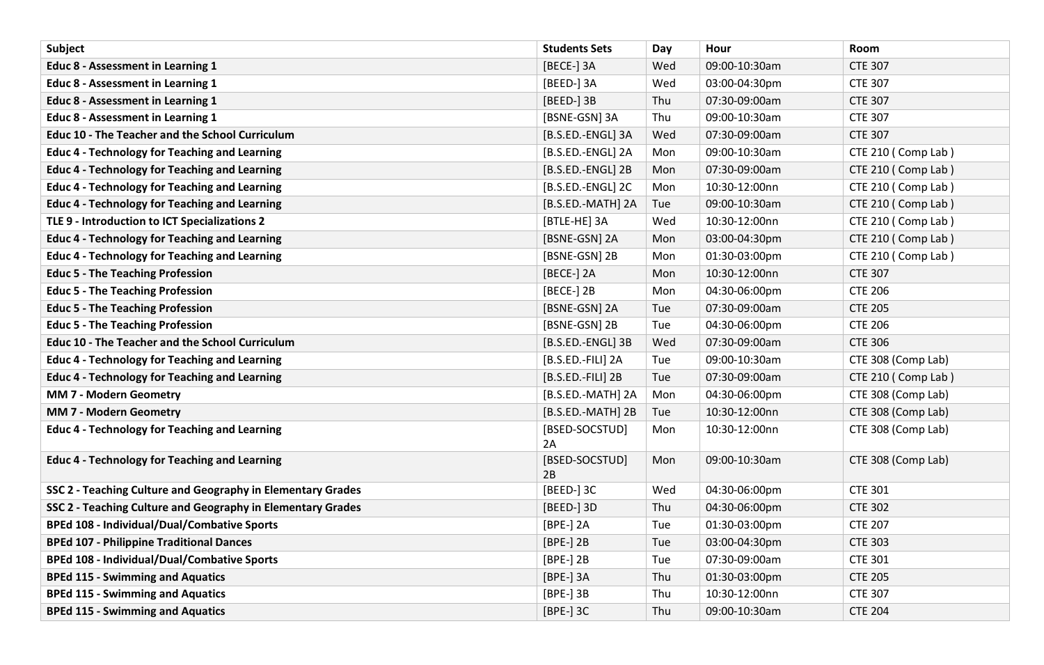| <b>Subject</b>                                              | <b>Students Sets</b> | Day | Hour          | Room               |
|-------------------------------------------------------------|----------------------|-----|---------------|--------------------|
| Educ 8 - Assessment in Learning 1                           | [BECE-] 3A           | Wed | 09:00-10:30am | <b>CTE 307</b>     |
| Educ 8 - Assessment in Learning 1                           | [BEED-] 3A           | Wed | 03:00-04:30pm | <b>CTE 307</b>     |
| Educ 8 - Assessment in Learning 1                           | [BEED-] 3B           | Thu | 07:30-09:00am | <b>CTE 307</b>     |
| Educ 8 - Assessment in Learning 1                           | [BSNE-GSN] 3A        | Thu | 09:00-10:30am | <b>CTE 307</b>     |
| <b>Educ 10 - The Teacher and the School Curriculum</b>      | [B.S.ED.-ENGL] 3A    | Wed | 07:30-09:00am | <b>CTE 307</b>     |
| <b>Educ 4 - Technology for Teaching and Learning</b>        | [B.S.ED.-ENGL] 2A    | Mon | 09:00-10:30am | CTE 210 (Comp Lab) |
| <b>Educ 4 - Technology for Teaching and Learning</b>        | [B.S.ED.-ENGL] 2B    | Mon | 07:30-09:00am | CTE 210 (Comp Lab) |
| <b>Educ 4 - Technology for Teaching and Learning</b>        | [B.S.ED.-ENGL] 2C    | Mon | 10:30-12:00nn | CTE 210 (Comp Lab) |
| <b>Educ 4 - Technology for Teaching and Learning</b>        | [B.S.ED.-MATH] 2A    | Tue | 09:00-10:30am | CTE 210 (Comp Lab) |
| TLE 9 - Introduction to ICT Specializations 2               | [BTLE-HE] 3A         | Wed | 10:30-12:00nn | CTE 210 (Comp Lab) |
| <b>Educ 4 - Technology for Teaching and Learning</b>        | [BSNE-GSN] 2A        | Mon | 03:00-04:30pm | CTE 210 (Comp Lab) |
| <b>Educ 4 - Technology for Teaching and Learning</b>        | [BSNE-GSN] 2B        | Mon | 01:30-03:00pm | CTE 210 (Comp Lab) |
| <b>Educ 5 - The Teaching Profession</b>                     | [BECE-] 2A           | Mon | 10:30-12:00nn | <b>CTE 307</b>     |
| <b>Educ 5 - The Teaching Profession</b>                     | [BECE-] 2B           | Mon | 04:30-06:00pm | <b>CTE 206</b>     |
| <b>Educ 5 - The Teaching Profession</b>                     | [BSNE-GSN] 2A        | Tue | 07:30-09:00am | <b>CTE 205</b>     |
| <b>Educ 5 - The Teaching Profession</b>                     | [BSNE-GSN] 2B        | Tue | 04:30-06:00pm | <b>CTE 206</b>     |
| <b>Educ 10 - The Teacher and the School Curriculum</b>      | [B.S.ED.-ENGL] 3B    | Wed | 07:30-09:00am | <b>CTE 306</b>     |
| <b>Educ 4 - Technology for Teaching and Learning</b>        | [B.S.ED.-FILI] 2A    | Tue | 09:00-10:30am | CTE 308 (Comp Lab) |
| <b>Educ 4 - Technology for Teaching and Learning</b>        | [B.S.ED.-FILI] 2B    | Tue | 07:30-09:00am | CTE 210 (Comp Lab) |
| <b>MM 7 - Modern Geometry</b>                               | [B.S.ED.-MATH] 2A    | Mon | 04:30-06:00pm | CTE 308 (Comp Lab) |
| <b>MM 7 - Modern Geometry</b>                               | [B.S.ED.-MATH] 2B    | Tue | 10:30-12:00nn | CTE 308 (Comp Lab) |
| <b>Educ 4 - Technology for Teaching and Learning</b>        | [BSED-SOCSTUD]<br>2A | Mon | 10:30-12:00nn | CTE 308 (Comp Lab) |
| <b>Educ 4 - Technology for Teaching and Learning</b>        | [BSED-SOCSTUD]<br>2B | Mon | 09:00-10:30am | CTE 308 (Comp Lab) |
| SSC 2 - Teaching Culture and Geography in Elementary Grades | [BEED-] 3C           | Wed | 04:30-06:00pm | <b>CTE 301</b>     |
| SSC 2 - Teaching Culture and Geography in Elementary Grades | [BEED-] 3D           | Thu | 04:30-06:00pm | <b>CTE 302</b>     |
| <b>BPEd 108 - Individual/Dual/Combative Sports</b>          | [BPE-] 2A            | Tue | 01:30-03:00pm | <b>CTE 207</b>     |
| <b>BPEd 107 - Philippine Traditional Dances</b>             | [BPE-] 2B            | Tue | 03:00-04:30pm | <b>CTE 303</b>     |
| <b>BPEd 108 - Individual/Dual/Combative Sports</b>          | [BPE-] 2B            | Tue | 07:30-09:00am | <b>CTE 301</b>     |
| <b>BPEd 115 - Swimming and Aquatics</b>                     | [BPE-] 3A            | Thu | 01:30-03:00pm | <b>CTE 205</b>     |
| <b>BPEd 115 - Swimming and Aquatics</b>                     | [BPE-] 3B            | Thu | 10:30-12:00nn | <b>CTE 307</b>     |
| <b>BPEd 115 - Swimming and Aquatics</b>                     | [BPE-] 3C            | Thu | 09:00-10:30am | <b>CTE 204</b>     |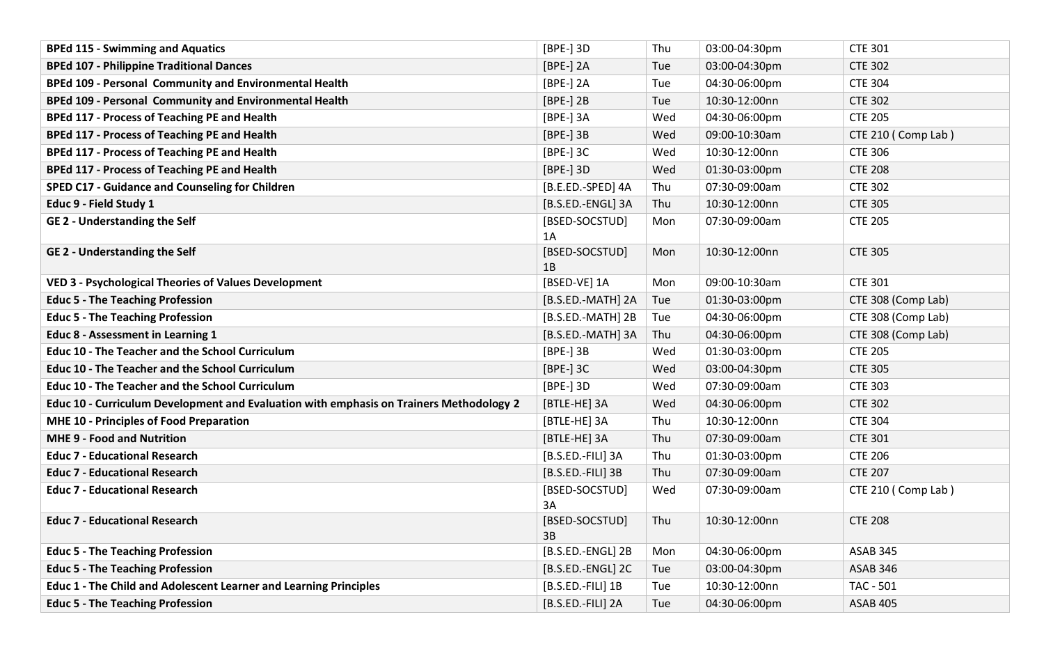| <b>BPEd 115 - Swimming and Aquatics</b>                                                 | [BPE-] 3D            | Thu | 03:00-04:30pm | <b>CTE 301</b>     |
|-----------------------------------------------------------------------------------------|----------------------|-----|---------------|--------------------|
| <b>BPEd 107 - Philippine Traditional Dances</b>                                         | $[BPE-]$ 2A          | Tue | 03:00-04:30pm | <b>CTE 302</b>     |
| BPEd 109 - Personal Community and Environmental Health                                  | $[BPE-]$ 2A          | Tue | 04:30-06:00pm | <b>CTE 304</b>     |
| BPEd 109 - Personal Community and Environmental Health                                  | $[BPE-]$ 2B          | Tue | 10:30-12:00nn | <b>CTE 302</b>     |
| <b>BPEd 117 - Process of Teaching PE and Health</b>                                     | [BPE-] 3A            | Wed | 04:30-06:00pm | <b>CTE 205</b>     |
| <b>BPEd 117 - Process of Teaching PE and Health</b>                                     | [BPE-] 3B            | Wed | 09:00-10:30am | CTE 210 (Comp Lab) |
| <b>BPEd 117 - Process of Teaching PE and Health</b>                                     | $[BPE-]$ 3C          | Wed | 10:30-12:00nn | <b>CTE 306</b>     |
| <b>BPEd 117 - Process of Teaching PE and Health</b>                                     | [BPE-] 3D            | Wed | 01:30-03:00pm | <b>CTE 208</b>     |
| <b>SPED C17 - Guidance and Counseling for Children</b>                                  | [B.E.ED.-SPED] 4A    | Thu | 07:30-09:00am | <b>CTE 302</b>     |
| Educ 9 - Field Study 1                                                                  | [B.S.ED.-ENGL] 3A    | Thu | 10:30-12:00nn | <b>CTE 305</b>     |
| <b>GE 2 - Understanding the Self</b>                                                    | [BSED-SOCSTUD]<br>1A | Mon | 07:30-09:00am | <b>CTE 205</b>     |
| <b>GE 2 - Understanding the Self</b>                                                    | [BSED-SOCSTUD]<br>1B | Mon | 10:30-12:00nn | <b>CTE 305</b>     |
| <b>VED 3 - Psychological Theories of Values Development</b>                             | [BSED-VE] 1A         | Mon | 09:00-10:30am | <b>CTE 301</b>     |
| <b>Educ 5 - The Teaching Profession</b>                                                 | [B.S.ED.-MATH] 2A    | Tue | 01:30-03:00pm | CTE 308 (Comp Lab) |
| <b>Educ 5 - The Teaching Profession</b>                                                 | [B.S.ED.-MATH] 2B    | Tue | 04:30-06:00pm | CTE 308 (Comp Lab) |
| Educ 8 - Assessment in Learning 1                                                       | [B.S.ED.-MATH] 3A    | Thu | 04:30-06:00pm | CTE 308 (Comp Lab) |
| <b>Educ 10 - The Teacher and the School Curriculum</b>                                  | [BPE-] 3B            | Wed | 01:30-03:00pm | <b>CTE 205</b>     |
| <b>Educ 10 - The Teacher and the School Curriculum</b>                                  | [BPE-] 3C            | Wed | 03:00-04:30pm | <b>CTE 305</b>     |
| <b>Educ 10 - The Teacher and the School Curriculum</b>                                  | [BPE-] 3D            | Wed | 07:30-09:00am | <b>CTE 303</b>     |
| Educ 10 - Curriculum Development and Evaluation with emphasis on Trainers Methodology 2 | [BTLE-HE] 3A         | Wed | 04:30-06:00pm | <b>CTE 302</b>     |
| MHE 10 - Principles of Food Preparation                                                 | [BTLE-HE] 3A         | Thu | 10:30-12:00nn | <b>CTE 304</b>     |
| <b>MHE 9 - Food and Nutrition</b>                                                       | [BTLE-HE] 3A         | Thu | 07:30-09:00am | <b>CTE 301</b>     |
| <b>Educ 7 - Educational Research</b>                                                    | [B.S.ED.-FILI] 3A    | Thu | 01:30-03:00pm | <b>CTE 206</b>     |
| <b>Educ 7 - Educational Research</b>                                                    | [B.S.ED.-FILI] 3B    | Thu | 07:30-09:00am | <b>CTE 207</b>     |
| <b>Educ 7 - Educational Research</b>                                                    | [BSED-SOCSTUD]<br>3A | Wed | 07:30-09:00am | CTE 210 (Comp Lab) |
| <b>Educ 7 - Educational Research</b>                                                    | [BSED-SOCSTUD]<br>3B | Thu | 10:30-12:00nn | <b>CTE 208</b>     |
| <b>Educ 5 - The Teaching Profession</b>                                                 | [B.S.ED.-ENGL] 2B    | Mon | 04:30-06:00pm | <b>ASAB 345</b>    |
| <b>Educ 5 - The Teaching Profession</b>                                                 | [B.S.ED.-ENGL] 2C    | Tue | 03:00-04:30pm | ASAB 346           |
| Educ 1 - The Child and Adolescent Learner and Learning Principles                       | [B.S.ED.-FILI] 1B    | Tue | 10:30-12:00nn | TAC - 501          |
| <b>Educ 5 - The Teaching Profession</b>                                                 | [B.S.ED.-FILI] 2A    | Tue | 04:30-06:00pm | <b>ASAB 405</b>    |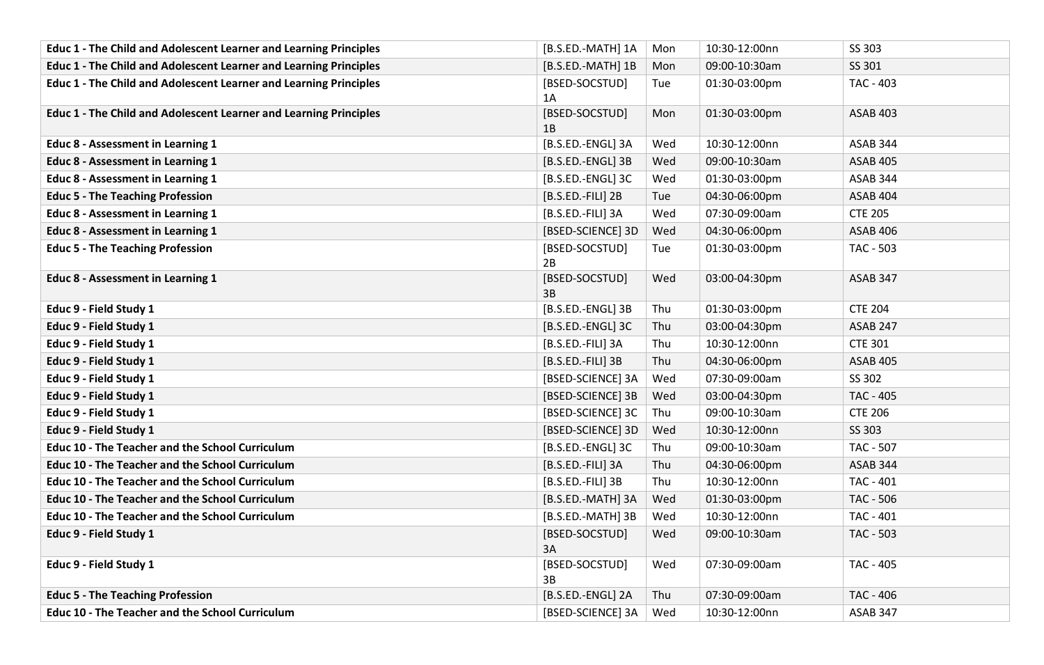| <b>Educ 1 - The Child and Adolescent Learner and Learning Principles</b> | [B.S.ED.-MATH] 1A    | Mon | 10:30-12:00nn | SS 303          |
|--------------------------------------------------------------------------|----------------------|-----|---------------|-----------------|
| Educ 1 - The Child and Adolescent Learner and Learning Principles        | [B.S.ED.-MATH] 1B    | Mon | 09:00-10:30am | SS 301          |
| Educ 1 - The Child and Adolescent Learner and Learning Principles        | [BSED-SOCSTUD]<br>1A | Tue | 01:30-03:00pm | TAC - 403       |
| Educ 1 - The Child and Adolescent Learner and Learning Principles        | [BSED-SOCSTUD]<br>1B | Mon | 01:30-03:00pm | <b>ASAB 403</b> |
| Educ 8 - Assessment in Learning 1                                        | [B.S.ED.-ENGL] 3A    | Wed | 10:30-12:00nn | ASAB 344        |
| <b>Educ 8 - Assessment in Learning 1</b>                                 | [B.S.ED.-ENGL] 3B    | Wed | 09:00-10:30am | <b>ASAB 405</b> |
| Educ 8 - Assessment in Learning 1                                        | [B.S.ED.-ENGL] 3C    | Wed | 01:30-03:00pm | ASAB 344        |
| <b>Educ 5 - The Teaching Profession</b>                                  | [B.S.ED.-FILI] 2B    | Tue | 04:30-06:00pm | <b>ASAB 404</b> |
| Educ 8 - Assessment in Learning 1                                        | [B.S.ED.-FILI] 3A    | Wed | 07:30-09:00am | <b>CTE 205</b>  |
| Educ 8 - Assessment in Learning 1                                        | [BSED-SCIENCE] 3D    | Wed | 04:30-06:00pm | <b>ASAB 406</b> |
| <b>Educ 5 - The Teaching Profession</b>                                  | [BSED-SOCSTUD]<br>2B | Tue | 01:30-03:00pm | TAC - 503       |
| Educ 8 - Assessment in Learning 1                                        | [BSED-SOCSTUD]<br>3B | Wed | 03:00-04:30pm | <b>ASAB 347</b> |
| Educ 9 - Field Study 1                                                   | [B.S.ED.-ENGL] 3B    | Thu | 01:30-03:00pm | <b>CTE 204</b>  |
| Educ 9 - Field Study 1                                                   | [B.S.ED.-ENGL] 3C    | Thu | 03:00-04:30pm | <b>ASAB 247</b> |
| Educ 9 - Field Study 1                                                   | [B.S.ED.-FILI] 3A    | Thu | 10:30-12:00nn | <b>CTE 301</b>  |
| Educ 9 - Field Study 1                                                   | [B.S.ED.-FILI] 3B    | Thu | 04:30-06:00pm | <b>ASAB 405</b> |
| Educ 9 - Field Study 1                                                   | [BSED-SCIENCE] 3A    | Wed | 07:30-09:00am | SS 302          |
| Educ 9 - Field Study 1                                                   | [BSED-SCIENCE] 3B    | Wed | 03:00-04:30pm | TAC - 405       |
| Educ 9 - Field Study 1                                                   | [BSED-SCIENCE] 3C    | Thu | 09:00-10:30am | <b>CTE 206</b>  |
| Educ 9 - Field Study 1                                                   | [BSED-SCIENCE] 3D    | Wed | 10:30-12:00nn | SS 303          |
| <b>Educ 10 - The Teacher and the School Curriculum</b>                   | [B.S.ED.-ENGL] 3C    | Thu | 09:00-10:30am | TAC - 507       |
| <b>Educ 10 - The Teacher and the School Curriculum</b>                   | [B.S.ED.-FILI] 3A    | Thu | 04:30-06:00pm | ASAB 344        |
| <b>Educ 10 - The Teacher and the School Curriculum</b>                   | [B.S.ED.-FILI] 3B    | Thu | 10:30-12:00nn | TAC - 401       |
| <b>Educ 10 - The Teacher and the School Curriculum</b>                   | [B.S.ED.-MATH] 3A    | Wed | 01:30-03:00pm | TAC - 506       |
| <b>Educ 10 - The Teacher and the School Curriculum</b>                   | [B.S.ED.-MATH] 3B    | Wed | 10:30-12:00nn | TAC - 401       |
| Educ 9 - Field Study 1                                                   | [BSED-SOCSTUD]<br>3A | Wed | 09:00-10:30am | TAC - 503       |
| Educ 9 - Field Study 1                                                   | [BSED-SOCSTUD]<br>3B | Wed | 07:30-09:00am | TAC - 405       |
| <b>Educ 5 - The Teaching Profession</b>                                  | [B.S.ED.-ENGL] 2A    | Thu | 07:30-09:00am | TAC - 406       |
| <b>Educ 10 - The Teacher and the School Curriculum</b>                   | [BSED-SCIENCE] 3A    | Wed | 10:30-12:00nn | ASAB 347        |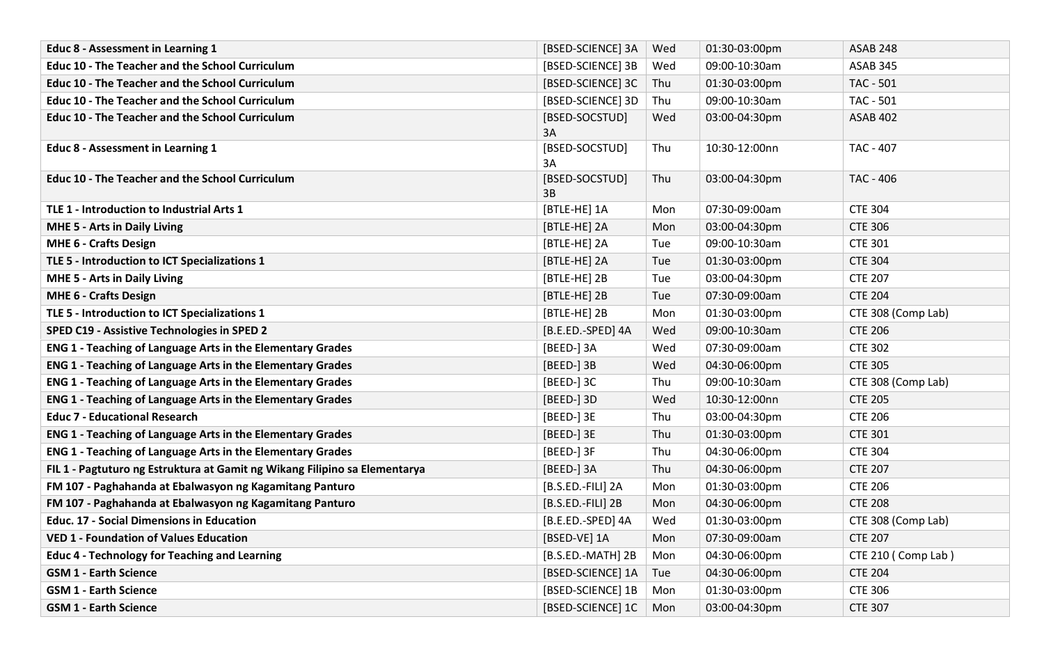| <b>Educ 8 - Assessment in Learning 1</b>                                   | [BSED-SCIENCE] 3A    | Wed | 01:30-03:00pm | <b>ASAB 248</b>    |
|----------------------------------------------------------------------------|----------------------|-----|---------------|--------------------|
| <b>Educ 10 - The Teacher and the School Curriculum</b>                     | [BSED-SCIENCE] 3B    | Wed | 09:00-10:30am | ASAB 345           |
| <b>Educ 10 - The Teacher and the School Curriculum</b>                     | [BSED-SCIENCE] 3C    | Thu | 01:30-03:00pm | TAC - 501          |
| <b>Educ 10 - The Teacher and the School Curriculum</b>                     | [BSED-SCIENCE] 3D    | Thu | 09:00-10:30am | <b>TAC - 501</b>   |
| <b>Educ 10 - The Teacher and the School Curriculum</b>                     | [BSED-SOCSTUD]<br>3A | Wed | 03:00-04:30pm | <b>ASAB 402</b>    |
| <b>Educ 8 - Assessment in Learning 1</b>                                   | [BSED-SOCSTUD]<br>3A | Thu | 10:30-12:00nn | TAC - 407          |
| <b>Educ 10 - The Teacher and the School Curriculum</b>                     | [BSED-SOCSTUD]<br>3B | Thu | 03:00-04:30pm | TAC - 406          |
| TLE 1 - Introduction to Industrial Arts 1                                  | [BTLE-HE] 1A         | Mon | 07:30-09:00am | <b>CTE 304</b>     |
| MHE 5 - Arts in Daily Living                                               | [BTLE-HE] 2A         | Mon | 03:00-04:30pm | <b>CTE 306</b>     |
| <b>MHE 6 - Crafts Design</b>                                               | [BTLE-HE] 2A         | Tue | 09:00-10:30am | <b>CTE 301</b>     |
| TLE 5 - Introduction to ICT Specializations 1                              | [BTLE-HE] 2A         | Tue | 01:30-03:00pm | <b>CTE 304</b>     |
| <b>MHE 5 - Arts in Daily Living</b>                                        | [BTLE-HE] 2B         | Tue | 03:00-04:30pm | <b>CTE 207</b>     |
| <b>MHE 6 - Crafts Design</b>                                               | [BTLE-HE] 2B         | Tue | 07:30-09:00am | <b>CTE 204</b>     |
| TLE 5 - Introduction to ICT Specializations 1                              | [BTLE-HE] 2B         | Mon | 01:30-03:00pm | CTE 308 (Comp Lab) |
| SPED C19 - Assistive Technologies in SPED 2                                | [B.E.ED.-SPED] 4A    | Wed | 09:00-10:30am | <b>CTE 206</b>     |
| <b>ENG 1 - Teaching of Language Arts in the Elementary Grades</b>          | [BEED-] 3A           | Wed | 07:30-09:00am | <b>CTE 302</b>     |
| ENG 1 - Teaching of Language Arts in the Elementary Grades                 | [BEED-] 3B           | Wed | 04:30-06:00pm | <b>CTE 305</b>     |
| <b>ENG 1 - Teaching of Language Arts in the Elementary Grades</b>          | [BEED-] 3C           | Thu | 09:00-10:30am | CTE 308 (Comp Lab) |
| <b>ENG 1 - Teaching of Language Arts in the Elementary Grades</b>          | [BEED-] 3D           | Wed | 10:30-12:00nn | <b>CTE 205</b>     |
| <b>Educ 7 - Educational Research</b>                                       | [BEED-] 3E           | Thu | 03:00-04:30pm | <b>CTE 206</b>     |
| <b>ENG 1 - Teaching of Language Arts in the Elementary Grades</b>          | [BEED-] 3E           | Thu | 01:30-03:00pm | <b>CTE 301</b>     |
| <b>ENG 1 - Teaching of Language Arts in the Elementary Grades</b>          | [BEED-] 3F           | Thu | 04:30-06:00pm | <b>CTE 304</b>     |
| FIL 1 - Pagtuturo ng Estruktura at Gamit ng Wikang Filipino sa Elementarya | [BEED-] 3A           | Thu | 04:30-06:00pm | <b>CTE 207</b>     |
| FM 107 - Paghahanda at Ebalwasyon ng Kagamitang Panturo                    | [B.S.ED.-FILI] 2A    | Mon | 01:30-03:00pm | <b>CTE 206</b>     |
| FM 107 - Paghahanda at Ebalwasyon ng Kagamitang Panturo                    | $[B.S.E.D.-FILI]$ 2B | Mon | 04:30-06:00pm | <b>CTE 208</b>     |
| <b>Educ. 17 - Social Dimensions in Education</b>                           | [B.E.ED.-SPED] 4A    | Wed | 01:30-03:00pm | CTE 308 (Comp Lab) |
| <b>VED 1 - Foundation of Values Education</b>                              | [BSED-VE] 1A         | Mon | 07:30-09:00am | <b>CTE 207</b>     |
| <b>Educ 4 - Technology for Teaching and Learning</b>                       | [B.S.ED.-MATH] 2B    | Mon | 04:30-06:00pm | CTE 210 (Comp Lab) |
| <b>GSM 1 - Earth Science</b>                                               | [BSED-SCIENCE] 1A    | Tue | 04:30-06:00pm | <b>CTE 204</b>     |
| <b>GSM 1 - Earth Science</b>                                               | [BSED-SCIENCE] 1B    | Mon | 01:30-03:00pm | <b>CTE 306</b>     |
| <b>GSM 1 - Earth Science</b>                                               | [BSED-SCIENCE] 1C    | Mon | 03:00-04:30pm | <b>CTE 307</b>     |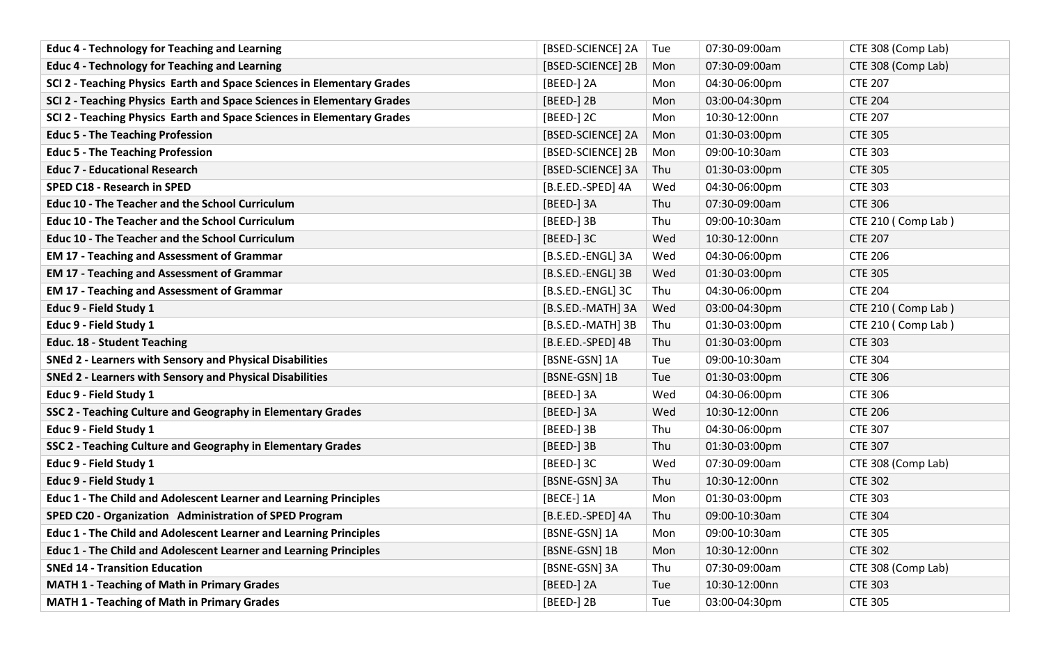| <b>Educ 4 - Technology for Teaching and Learning</b>                     | [BSED-SCIENCE] 2A    | Tue | 07:30-09:00am | CTE 308 (Comp Lab) |
|--------------------------------------------------------------------------|----------------------|-----|---------------|--------------------|
| <b>Educ 4 - Technology for Teaching and Learning</b>                     | [BSED-SCIENCE] 2B    | Mon | 07:30-09:00am | CTE 308 (Comp Lab) |
| SCI 2 - Teaching Physics Earth and Space Sciences in Elementary Grades   | [BEED-] 2A           | Mon | 04:30-06:00pm | <b>CTE 207</b>     |
| SCI 2 - Teaching Physics Earth and Space Sciences in Elementary Grades   | [BEED-] 2B           | Mon | 03:00-04:30pm | <b>CTE 204</b>     |
| SCI 2 - Teaching Physics Earth and Space Sciences in Elementary Grades   | [BEED-] 2C           | Mon | 10:30-12:00nn | <b>CTE 207</b>     |
| <b>Educ 5 - The Teaching Profession</b>                                  | [BSED-SCIENCE] 2A    | Mon | 01:30-03:00pm | <b>CTE 305</b>     |
| <b>Educ 5 - The Teaching Profession</b>                                  | [BSED-SCIENCE] 2B    | Mon | 09:00-10:30am | <b>CTE 303</b>     |
| <b>Educ 7 - Educational Research</b>                                     | [BSED-SCIENCE] 3A    | Thu | 01:30-03:00pm | <b>CTE 305</b>     |
| <b>SPED C18 - Research in SPED</b>                                       | [B.E.ED.-SPED] 4A    | Wed | 04:30-06:00pm | <b>CTE 303</b>     |
| <b>Educ 10 - The Teacher and the School Curriculum</b>                   | [BEED-] 3A           | Thu | 07:30-09:00am | <b>CTE 306</b>     |
| <b>Educ 10 - The Teacher and the School Curriculum</b>                   | [BEED-] 3B           | Thu | 09:00-10:30am | CTE 210 (Comp Lab) |
| <b>Educ 10 - The Teacher and the School Curriculum</b>                   | [BEED-] 3C           | Wed | 10:30-12:00nn | <b>CTE 207</b>     |
| <b>EM 17 - Teaching and Assessment of Grammar</b>                        | [B.S.ED.-ENGL] 3A    | Wed | 04:30-06:00pm | <b>CTE 206</b>     |
| <b>EM 17 - Teaching and Assessment of Grammar</b>                        | [B.S.ED.-ENGL] 3B    | Wed | 01:30-03:00pm | <b>CTE 305</b>     |
| <b>EM 17 - Teaching and Assessment of Grammar</b>                        | [B.S.ED.-ENGL] 3C    | Thu | 04:30-06:00pm | <b>CTE 204</b>     |
| Educ 9 - Field Study 1                                                   | [B.S.ED.-MATH] 3A    | Wed | 03:00-04:30pm | CTE 210 (Comp Lab) |
| Educ 9 - Field Study 1                                                   | [B.S.ED.-MATH] 3B    | Thu | 01:30-03:00pm | CTE 210 (Comp Lab) |
| <b>Educ. 18 - Student Teaching</b>                                       | $[B.E.E.D.-SPED]$ 4B | Thu | 01:30-03:00pm | <b>CTE 303</b>     |
| SNEd 2 - Learners with Sensory and Physical Disabilities                 | [BSNE-GSN] 1A        | Tue | 09:00-10:30am | <b>CTE 304</b>     |
| <b>SNEd 2 - Learners with Sensory and Physical Disabilities</b>          | [BSNE-GSN] 1B        | Tue | 01:30-03:00pm | <b>CTE 306</b>     |
| Educ 9 - Field Study 1                                                   | [BEED-] 3A           | Wed | 04:30-06:00pm | <b>CTE 306</b>     |
| SSC 2 - Teaching Culture and Geography in Elementary Grades              | [BEED-] 3A           | Wed | 10:30-12:00nn | <b>CTE 206</b>     |
| Educ 9 - Field Study 1                                                   | [BEED-] 3B           | Thu | 04:30-06:00pm | <b>CTE 307</b>     |
| SSC 2 - Teaching Culture and Geography in Elementary Grades              | [BEED-] 3B           | Thu | 01:30-03:00pm | <b>CTE 307</b>     |
| Educ 9 - Field Study 1                                                   | [BEED-] 3C           | Wed | 07:30-09:00am | CTE 308 (Comp Lab) |
| Educ 9 - Field Study 1                                                   | [BSNE-GSN] 3A        | Thu | 10:30-12:00nn | <b>CTE 302</b>     |
| Educ 1 - The Child and Adolescent Learner and Learning Principles        | [BECE-] 1A           | Mon | 01:30-03:00pm | <b>CTE 303</b>     |
| SPED C20 - Organization Administration of SPED Program                   | [B.E.ED.-SPED] 4A    | Thu | 09:00-10:30am | <b>CTE 304</b>     |
| Educ 1 - The Child and Adolescent Learner and Learning Principles        | [BSNE-GSN] 1A        | Mon | 09:00-10:30am | <b>CTE 305</b>     |
| <b>Educ 1 - The Child and Adolescent Learner and Learning Principles</b> | [BSNE-GSN] 1B        | Mon | 10:30-12:00nn | <b>CTE 302</b>     |
| <b>SNEd 14 - Transition Education</b>                                    | [BSNE-GSN] 3A        | Thu | 07:30-09:00am | CTE 308 (Comp Lab) |
| <b>MATH 1 - Teaching of Math in Primary Grades</b>                       | [BEED-] 2A           | Tue | 10:30-12:00nn | <b>CTE 303</b>     |
| <b>MATH 1 - Teaching of Math in Primary Grades</b>                       | [BEED-] 2B           | Tue | 03:00-04:30pm | <b>CTE 305</b>     |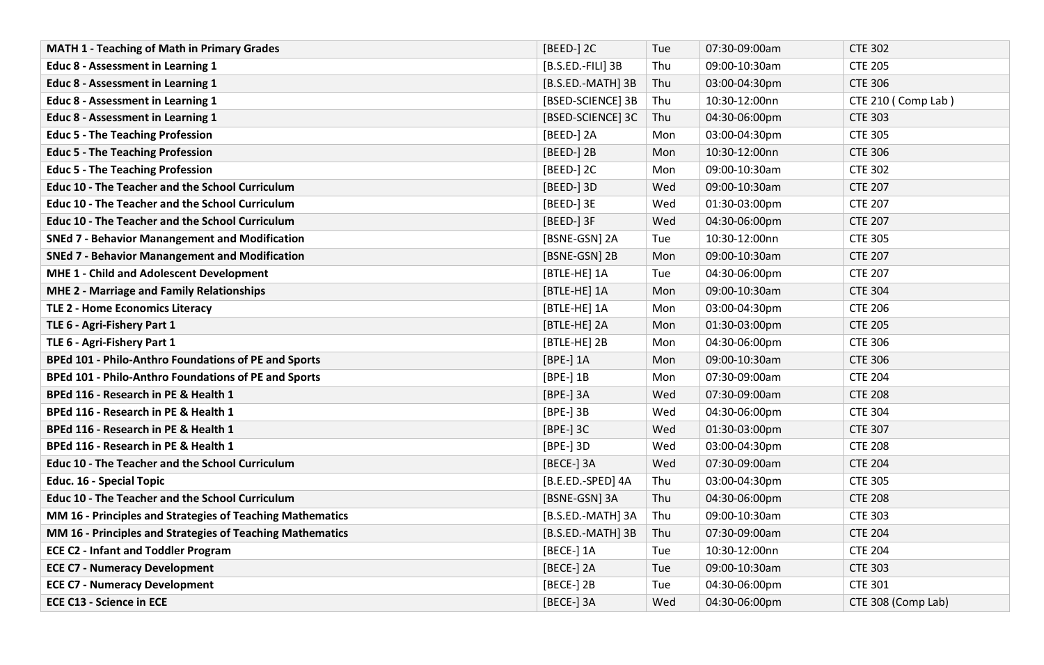| <b>MATH 1 - Teaching of Math in Primary Grades</b>          | [BEED-] 2C        | Tue        | 07:30-09:00am | <b>CTE 302</b>     |
|-------------------------------------------------------------|-------------------|------------|---------------|--------------------|
| Educ 8 - Assessment in Learning 1                           | [B.S.ED.-FILI] 3B | Thu        | 09:00-10:30am | <b>CTE 205</b>     |
| Educ 8 - Assessment in Learning 1                           | [B.S.ED.-MATH] 3B | Thu        | 03:00-04:30pm | <b>CTE 306</b>     |
| <b>Educ 8 - Assessment in Learning 1</b>                    | [BSED-SCIENCE] 3B | Thu        | 10:30-12:00nn | CTE 210 (Comp Lab) |
| Educ 8 - Assessment in Learning 1                           | [BSED-SCIENCE] 3C | Thu        | 04:30-06:00pm | <b>CTE 303</b>     |
| <b>Educ 5 - The Teaching Profession</b>                     | [BEED-] 2A        | Mon        | 03:00-04:30pm | <b>CTE 305</b>     |
| <b>Educ 5 - The Teaching Profession</b>                     | [BEED-] 2B        | <b>Mon</b> | 10:30-12:00nn | <b>CTE 306</b>     |
| <b>Educ 5 - The Teaching Profession</b>                     | [BEED-] 2C        | Mon        | 09:00-10:30am | <b>CTE 302</b>     |
| <b>Educ 10 - The Teacher and the School Curriculum</b>      | [BEED-] 3D        | Wed        | 09:00-10:30am | <b>CTE 207</b>     |
| <b>Educ 10 - The Teacher and the School Curriculum</b>      | [BEED-] 3E        | Wed        | 01:30-03:00pm | <b>CTE 207</b>     |
| <b>Educ 10 - The Teacher and the School Curriculum</b>      | [BEED-] 3F        | Wed        | 04:30-06:00pm | <b>CTE 207</b>     |
| <b>SNEd 7 - Behavior Manangement and Modification</b>       | [BSNE-GSN] 2A     | Tue        | 10:30-12:00nn | <b>CTE 305</b>     |
| <b>SNEd 7 - Behavior Manangement and Modification</b>       | [BSNE-GSN] 2B     | Mon        | 09:00-10:30am | <b>CTE 207</b>     |
| MHE 1 - Child and Adolescent Development                    | [BTLE-HE] 1A      | Tue        | 04:30-06:00pm | <b>CTE 207</b>     |
| <b>MHE 2 - Marriage and Family Relationships</b>            | [BTLE-HE] 1A      | Mon        | 09:00-10:30am | <b>CTE 304</b>     |
| <b>TLE 2 - Home Economics Literacy</b>                      | [BTLE-HE] 1A      | Mon        | 03:00-04:30pm | <b>CTE 206</b>     |
| TLE 6 - Agri-Fishery Part 1                                 | [BTLE-HE] 2A      | Mon        | 01:30-03:00pm | <b>CTE 205</b>     |
| TLE 6 - Agri-Fishery Part 1                                 | [BTLE-HE] 2B      | Mon        | 04:30-06:00pm | <b>CTE 306</b>     |
| BPEd 101 - Philo-Anthro Foundations of PE and Sports        | [BPE-] 1A         | Mon        | 09:00-10:30am | <b>CTE 306</b>     |
| <b>BPEd 101 - Philo-Anthro Foundations of PE and Sports</b> | [BPE-] 1B         | Mon        | 07:30-09:00am | <b>CTE 204</b>     |
| BPEd 116 - Research in PE & Health 1                        | [BPE-] 3A         | Wed        | 07:30-09:00am | <b>CTE 208</b>     |
| BPEd 116 - Research in PE & Health 1                        | $[BPE-]$ 3B       | Wed        | 04:30-06:00pm | <b>CTE 304</b>     |
| BPEd 116 - Research in PE & Health 1                        | [BPE-] 3C         | Wed        | 01:30-03:00pm | <b>CTE 307</b>     |
| BPEd 116 - Research in PE & Health 1                        | [BPE-] 3D         | Wed        | 03:00-04:30pm | <b>CTE 208</b>     |
| <b>Educ 10 - The Teacher and the School Curriculum</b>      | [BECE-] 3A        | Wed        | 07:30-09:00am | <b>CTE 204</b>     |
| <b>Educ. 16 - Special Topic</b>                             | [B.E.ED.-SPED] 4A | Thu        | 03:00-04:30pm | <b>CTE 305</b>     |
| <b>Educ 10 - The Teacher and the School Curriculum</b>      | [BSNE-GSN] 3A     | Thu        | 04:30-06:00pm | <b>CTE 208</b>     |
| MM 16 - Principles and Strategies of Teaching Mathematics   | [B.S.ED.-MATH] 3A | Thu        | 09:00-10:30am | <b>CTE 303</b>     |
| MM 16 - Principles and Strategies of Teaching Mathematics   | [B.S.ED.-MATH] 3B | Thu        | 07:30-09:00am | <b>CTE 204</b>     |
| <b>ECE C2 - Infant and Toddler Program</b>                  | [BECE-] 1A        | Tue        | 10:30-12:00nn | <b>CTE 204</b>     |
| <b>ECE C7 - Numeracy Development</b>                        | [BECE-] 2A        | Tue        | 09:00-10:30am | <b>CTE 303</b>     |
| <b>ECE C7 - Numeracy Development</b>                        | [BECE-] 2B        | Tue        | 04:30-06:00pm | <b>CTE 301</b>     |
| <b>ECE C13 - Science in ECE</b>                             | [BECE-] 3A        | Wed        | 04:30-06:00pm | CTE 308 (Comp Lab) |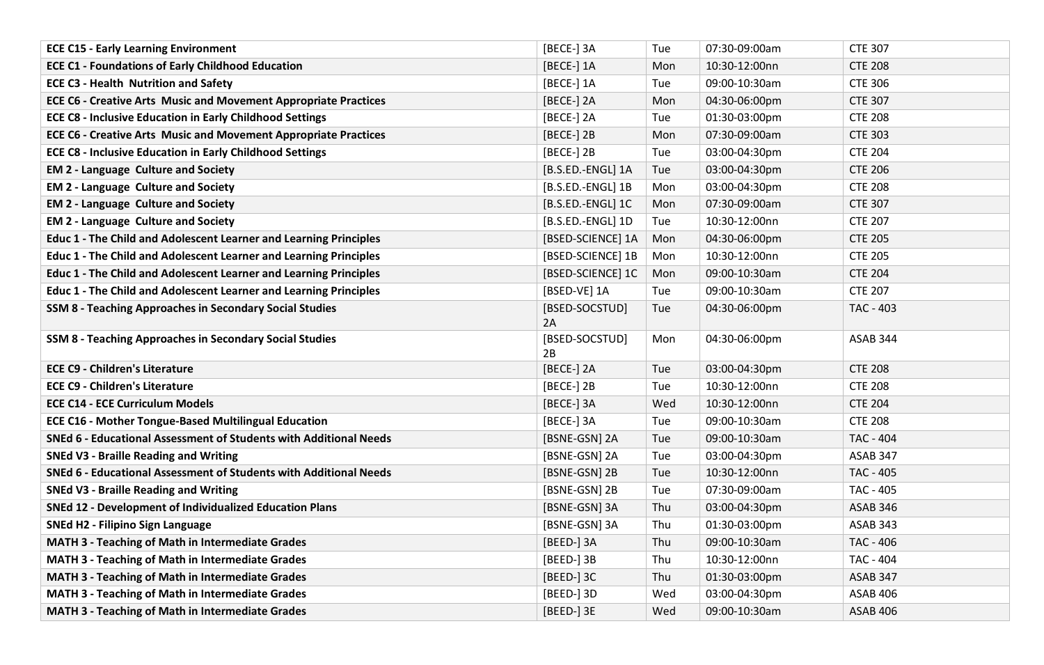| <b>ECE C15 - Early Learning Environment</b>                              | [BECE-] 3A           | Tue | 07:30-09:00am | <b>CTE 307</b>   |
|--------------------------------------------------------------------------|----------------------|-----|---------------|------------------|
| <b>ECE C1 - Foundations of Early Childhood Education</b>                 | [BECE-] 1A           | Mon | 10:30-12:00nn | <b>CTE 208</b>   |
| <b>ECE C3 - Health Nutrition and Safety</b>                              | [BECE-] 1A           | Tue | 09:00-10:30am | <b>CTE 306</b>   |
| <b>ECE C6 - Creative Arts Music and Movement Appropriate Practices</b>   | [BECE-] 2A           | Mon | 04:30-06:00pm | <b>CTE 307</b>   |
| <b>ECE C8 - Inclusive Education in Early Childhood Settings</b>          | [BECE-] 2A           | Tue | 01:30-03:00pm | <b>CTE 208</b>   |
| <b>ECE C6 - Creative Arts Music and Movement Appropriate Practices</b>   | [BECE-] 2B           | Mon | 07:30-09:00am | <b>CTE 303</b>   |
| <b>ECE C8 - Inclusive Education in Early Childhood Settings</b>          | [BECE-] 2B           | Tue | 03:00-04:30pm | <b>CTE 204</b>   |
| <b>EM 2 - Language Culture and Society</b>                               | [B.S.ED.-ENGL] 1A    | Tue | 03:00-04:30pm | <b>CTE 206</b>   |
| <b>EM 2 - Language Culture and Society</b>                               | [B.S.ED.-ENGL] 1B    | Mon | 03:00-04:30pm | <b>CTE 208</b>   |
| <b>EM 2 - Language Culture and Society</b>                               | [B.S.ED.-ENGL] 1C    | Mon | 07:30-09:00am | <b>CTE 307</b>   |
| <b>EM 2 - Language Culture and Society</b>                               | [B.S.ED.-ENGL] 1D    | Tue | 10:30-12:00nn | <b>CTE 207</b>   |
| Educ 1 - The Child and Adolescent Learner and Learning Principles        | [BSED-SCIENCE] 1A    | Mon | 04:30-06:00pm | <b>CTE 205</b>   |
| <b>Educ 1 - The Child and Adolescent Learner and Learning Principles</b> | [BSED-SCIENCE] 1B    | Mon | 10:30-12:00nn | <b>CTE 205</b>   |
| Educ 1 - The Child and Adolescent Learner and Learning Principles        | [BSED-SCIENCE] 1C    | Mon | 09:00-10:30am | <b>CTE 204</b>   |
| Educ 1 - The Child and Adolescent Learner and Learning Principles        | [BSED-VE] 1A         | Tue | 09:00-10:30am | <b>CTE 207</b>   |
| <b>SSM 8 - Teaching Approaches in Secondary Social Studies</b>           | [BSED-SOCSTUD]<br>2A | Tue | 04:30-06:00pm | <b>TAC - 403</b> |
| <b>SSM 8 - Teaching Approaches in Secondary Social Studies</b>           | [BSED-SOCSTUD]<br>2B | Mon | 04:30-06:00pm | ASAB 344         |
| <b>ECE C9 - Children's Literature</b>                                    | [BECE-] 2A           | Tue | 03:00-04:30pm | <b>CTE 208</b>   |
| <b>ECE C9 - Children's Literature</b>                                    | [BECE-] 2B           | Tue | 10:30-12:00nn | <b>CTE 208</b>   |
| <b>ECE C14 - ECE Curriculum Models</b>                                   | [BECE-] 3A           | Wed | 10:30-12:00nn |                  |
| <b>ECE C16 - Mother Tongue-Based Multilingual Education</b>              |                      |     |               | <b>CTE 204</b>   |
|                                                                          | [BECE-] 3A           | Tue | 09:00-10:30am | <b>CTE 208</b>   |
| SNEd 6 - Educational Assessment of Students with Additional Needs        | [BSNE-GSN] 2A        | Tue | 09:00-10:30am | <b>TAC - 404</b> |
| <b>SNEd V3 - Braille Reading and Writing</b>                             | [BSNE-GSN] 2A        | Tue | 03:00-04:30pm | ASAB 347         |
| SNEd 6 - Educational Assessment of Students with Additional Needs        | [BSNE-GSN] 2B        | Tue | 10:30-12:00nn | <b>TAC - 405</b> |
| <b>SNEd V3 - Braille Reading and Writing</b>                             | [BSNE-GSN] 2B        | Tue | 07:30-09:00am | TAC - 405        |
| <b>SNEd 12 - Development of Individualized Education Plans</b>           | [BSNE-GSN] 3A        | Thu | 03:00-04:30pm | ASAB 346         |
| <b>SNEd H2 - Filipino Sign Language</b>                                  | [BSNE-GSN] 3A        | Thu | 01:30-03:00pm | ASAB 343         |
| MATH 3 - Teaching of Math in Intermediate Grades                         | [BEED-] 3A           | Thu | 09:00-10:30am | TAC - 406        |
| <b>MATH 3 - Teaching of Math in Intermediate Grades</b>                  | [BEED-] 3B           | Thu | 10:30-12:00nn | TAC - 404        |
| MATH 3 - Teaching of Math in Intermediate Grades                         | [BEED-] 3C           | Thu | 01:30-03:00pm | ASAB 347         |
| <b>MATH 3 - Teaching of Math in Intermediate Grades</b>                  | [BEED-] 3D           | Wed | 03:00-04:30pm | ASAB 406         |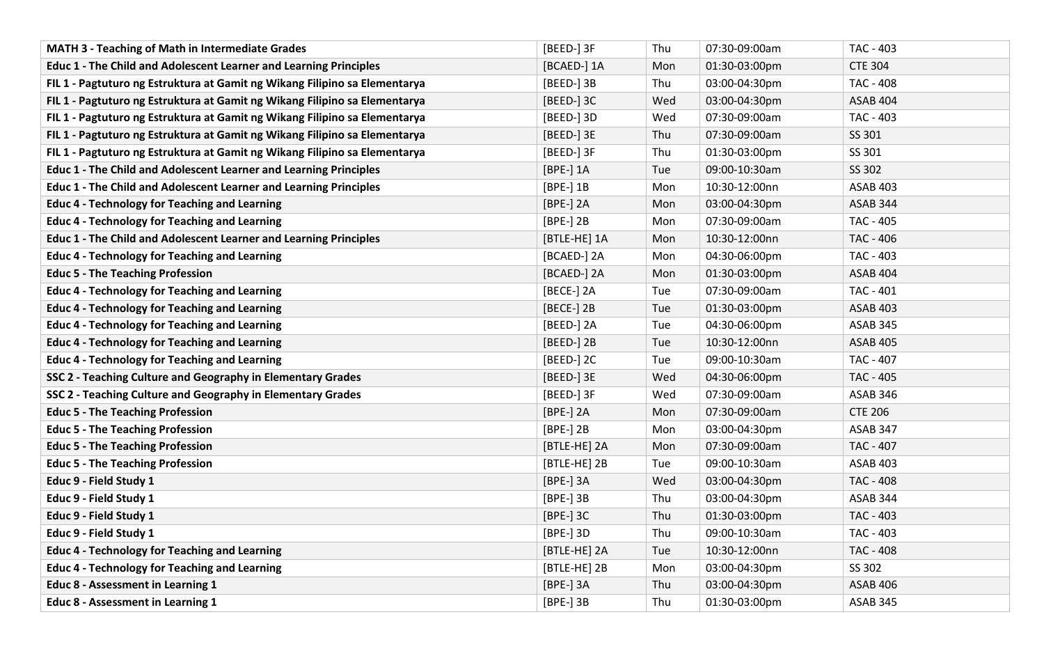| <b>MATH 3 - Teaching of Math in Intermediate Grades</b>                    | [BEED-] 3F   | Thu | 07:30-09:00am | TAC - 403        |
|----------------------------------------------------------------------------|--------------|-----|---------------|------------------|
| <b>Educ 1 - The Child and Adolescent Learner and Learning Principles</b>   | [BCAED-] 1A  | Mon | 01:30-03:00pm | <b>CTE 304</b>   |
| FIL 1 - Pagtuturo ng Estruktura at Gamit ng Wikang Filipino sa Elementarya | [BEED-] 3B   | Thu | 03:00-04:30pm | <b>TAC - 408</b> |
| FIL 1 - Pagtuturo ng Estruktura at Gamit ng Wikang Filipino sa Elementarya | [BEED-] 3C   | Wed | 03:00-04:30pm | <b>ASAB 404</b>  |
| FIL 1 - Pagtuturo ng Estruktura at Gamit ng Wikang Filipino sa Elementarya | [BEED-] 3D   | Wed | 07:30-09:00am | TAC - 403        |
| FIL 1 - Pagtuturo ng Estruktura at Gamit ng Wikang Filipino sa Elementarya | [BEED-] 3E   | Thu | 07:30-09:00am | SS 301           |
| FIL 1 - Pagtuturo ng Estruktura at Gamit ng Wikang Filipino sa Elementarya | [BEED-] 3F   | Thu | 01:30-03:00pm | SS 301           |
| <b>Educ 1 - The Child and Adolescent Learner and Learning Principles</b>   | [BPE-] 1A    | Tue | 09:00-10:30am | SS 302           |
| Educ 1 - The Child and Adolescent Learner and Learning Principles          | [BPE-] 1B    | Mon | 10:30-12:00nn | <b>ASAB 403</b>  |
| <b>Educ 4 - Technology for Teaching and Learning</b>                       | [BPE-] 2A    | Mon | 03:00-04:30pm | ASAB 344         |
| <b>Educ 4 - Technology for Teaching and Learning</b>                       | [BPE-] 2B    | Mon | 07:30-09:00am | TAC - 405        |
| Educ 1 - The Child and Adolescent Learner and Learning Principles          | [BTLE-HE] 1A | Mon | 10:30-12:00nn | TAC - 406        |
| <b>Educ 4 - Technology for Teaching and Learning</b>                       | [BCAED-] 2A  | Mon | 04:30-06:00pm | <b>TAC - 403</b> |
| <b>Educ 5 - The Teaching Profession</b>                                    | [BCAED-] 2A  | Mon | 01:30-03:00pm | <b>ASAB 404</b>  |
| <b>Educ 4 - Technology for Teaching and Learning</b>                       | [BECE-] 2A   | Tue | 07:30-09:00am | TAC - 401        |
| <b>Educ 4 - Technology for Teaching and Learning</b>                       | [BECE-] 2B   | Tue | 01:30-03:00pm | <b>ASAB 403</b>  |
| <b>Educ 4 - Technology for Teaching and Learning</b>                       | [BEED-] 2A   | Tue | 04:30-06:00pm | ASAB 345         |
| <b>Educ 4 - Technology for Teaching and Learning</b>                       | [BEED-] 2B   | Tue | 10:30-12:00nn | <b>ASAB 405</b>  |
| <b>Educ 4 - Technology for Teaching and Learning</b>                       | [BEED-] 2C   | Tue | 09:00-10:30am | TAC - 407        |
| SSC 2 - Teaching Culture and Geography in Elementary Grades                | [BEED-] 3E   | Wed | 04:30-06:00pm | TAC - 405        |
| SSC 2 - Teaching Culture and Geography in Elementary Grades                | [BEED-] 3F   | Wed | 07:30-09:00am | ASAB 346         |
| <b>Educ 5 - The Teaching Profession</b>                                    | [BPE-] 2A    | Mon | 07:30-09:00am | <b>CTE 206</b>   |
| <b>Educ 5 - The Teaching Profession</b>                                    | $[BPE-]$ 2B  | Mon | 03:00-04:30pm | ASAB 347         |
| <b>Educ 5 - The Teaching Profession</b>                                    | [BTLE-HE] 2A | Mon | 07:30-09:00am | TAC - 407        |
| <b>Educ 5 - The Teaching Profession</b>                                    | [BTLE-HE] 2B | Tue | 09:00-10:30am | <b>ASAB 403</b>  |
| Educ 9 - Field Study 1                                                     | [BPE-] 3A    | Wed | 03:00-04:30pm | <b>TAC - 408</b> |
| Educ 9 - Field Study 1                                                     | [BPE-] 3B    | Thu | 03:00-04:30pm | ASAB 344         |
| Educ 9 - Field Study 1                                                     | [BPE-] 3C    | Thu | 01:30-03:00pm | TAC - 403        |
| Educ 9 - Field Study 1                                                     | [BPE-] 3D    | Thu | 09:00-10:30am | TAC - 403        |
| <b>Educ 4 - Technology for Teaching and Learning</b>                       | [BTLE-HE] 2A | Tue | 10:30-12:00nn | <b>TAC - 408</b> |
| <b>Educ 4 - Technology for Teaching and Learning</b>                       | [BTLE-HE] 2B | Mon | 03:00-04:30pm | SS 302           |
| Educ 8 - Assessment in Learning 1                                          | [BPE-] 3A    | Thu | 03:00-04:30pm | ASAB 406         |
| Educ 8 - Assessment in Learning 1                                          | [BPE-] 3B    | Thu | 01:30-03:00pm | <b>ASAB 345</b>  |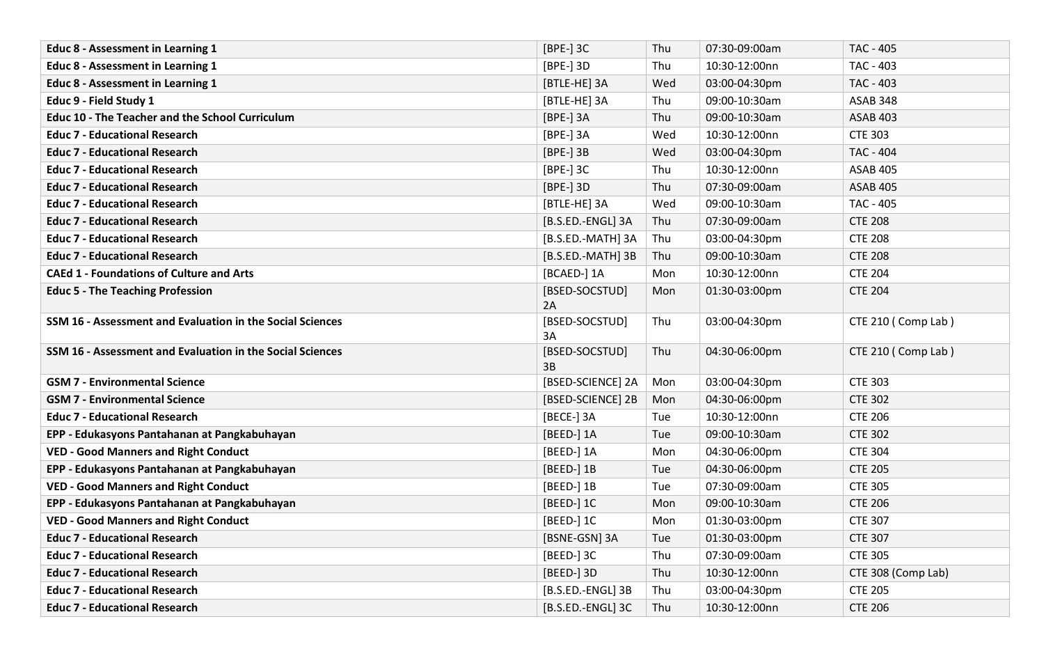| <b>Educ 8 - Assessment in Learning 1</b>                  | [BPE-] 3C            | Thu | 07:30-09:00am | <b>TAC - 405</b>   |
|-----------------------------------------------------------|----------------------|-----|---------------|--------------------|
| <b>Educ 8 - Assessment in Learning 1</b>                  | [BPE-] 3D            | Thu | 10:30-12:00nn | TAC - 403          |
| Educ 8 - Assessment in Learning 1                         | [BTLE-HE] 3A         | Wed | 03:00-04:30pm | <b>TAC - 403</b>   |
| Educ 9 - Field Study 1                                    | [BTLE-HE] 3A         | Thu | 09:00-10:30am | ASAB 348           |
| <b>Educ 10 - The Teacher and the School Curriculum</b>    | [BPE-] 3A            | Thu | 09:00-10:30am | <b>ASAB 403</b>    |
| <b>Educ 7 - Educational Research</b>                      | [BPE-] 3A            | Wed | 10:30-12:00nn | <b>CTE 303</b>     |
| <b>Educ 7 - Educational Research</b>                      | $[BPE-]$ 3B          | Wed | 03:00-04:30pm | <b>TAC - 404</b>   |
| <b>Educ 7 - Educational Research</b>                      | [BPE-] 3C            | Thu | 10:30-12:00nn | <b>ASAB 405</b>    |
| <b>Educ 7 - Educational Research</b>                      | [BPE-] 3D            | Thu | 07:30-09:00am | <b>ASAB 405</b>    |
| <b>Educ 7 - Educational Research</b>                      | [BTLE-HE] 3A         | Wed | 09:00-10:30am | <b>TAC - 405</b>   |
| <b>Educ 7 - Educational Research</b>                      | [B.S.ED.-ENGL] 3A    | Thu | 07:30-09:00am | <b>CTE 208</b>     |
| <b>Educ 7 - Educational Research</b>                      | [B.S.ED.-MATH] 3A    | Thu | 03:00-04:30pm | <b>CTE 208</b>     |
| <b>Educ 7 - Educational Research</b>                      | [B.S.ED.-MATH] 3B    | Thu | 09:00-10:30am | <b>CTE 208</b>     |
| <b>CAEd 1 - Foundations of Culture and Arts</b>           | [BCAED-] 1A          | Mon | 10:30-12:00nn | <b>CTE 204</b>     |
| <b>Educ 5 - The Teaching Profession</b>                   | [BSED-SOCSTUD]<br>2A | Mon | 01:30-03:00pm | <b>CTE 204</b>     |
| SSM 16 - Assessment and Evaluation in the Social Sciences | [BSED-SOCSTUD]<br>3A | Thu | 03:00-04:30pm | CTE 210 (Comp Lab) |
| SSM 16 - Assessment and Evaluation in the Social Sciences | [BSED-SOCSTUD]<br>3B | Thu | 04:30-06:00pm | CTE 210 (Comp Lab) |
| <b>GSM 7 - Environmental Science</b>                      | [BSED-SCIENCE] 2A    | Mon | 03:00-04:30pm | <b>CTE 303</b>     |
| <b>GSM 7 - Environmental Science</b>                      | [BSED-SCIENCE] 2B    | Mon | 04:30-06:00pm | <b>CTE 302</b>     |
| <b>Educ 7 - Educational Research</b>                      | [BECE-] 3A           | Tue | 10:30-12:00nn | <b>CTE 206</b>     |
| EPP - Edukasyons Pantahanan at Pangkabuhayan              | [BEED-] 1A           | Tue | 09:00-10:30am | <b>CTE 302</b>     |
| <b>VED - Good Manners and Right Conduct</b>               | [BEED-] 1A           | Mon | 04:30-06:00pm | <b>CTE 304</b>     |
| EPP - Edukasyons Pantahanan at Pangkabuhayan              | [BEED-] 1B           | Tue | 04:30-06:00pm | <b>CTE 205</b>     |
| <b>VED - Good Manners and Right Conduct</b>               | [BEED-] 1B           | Tue | 07:30-09:00am | <b>CTE 305</b>     |
| EPP - Edukasyons Pantahanan at Pangkabuhayan              | [BEED-] 1C           | Mon | 09:00-10:30am | <b>CTE 206</b>     |
| <b>VED - Good Manners and Right Conduct</b>               | [BEED-] 1C           | Mon | 01:30-03:00pm | <b>CTE 307</b>     |
| <b>Educ 7 - Educational Research</b>                      | [BSNE-GSN] 3A        | Tue | 01:30-03:00pm | <b>CTE 307</b>     |
| <b>Educ 7 - Educational Research</b>                      | [BEED-] 3C           | Thu | 07:30-09:00am | <b>CTE 305</b>     |
| <b>Educ 7 - Educational Research</b>                      | [BEED-] 3D           | Thu | 10:30-12:00nn | CTE 308 (Comp Lab) |
| <b>Educ 7 - Educational Research</b>                      | [B.S.ED.-ENGL] 3B    | Thu | 03:00-04:30pm | <b>CTE 205</b>     |
| <b>Educ 7 - Educational Research</b>                      | [B.S.ED.-ENGL] 3C    | Thu | 10:30-12:00nn | <b>CTE 206</b>     |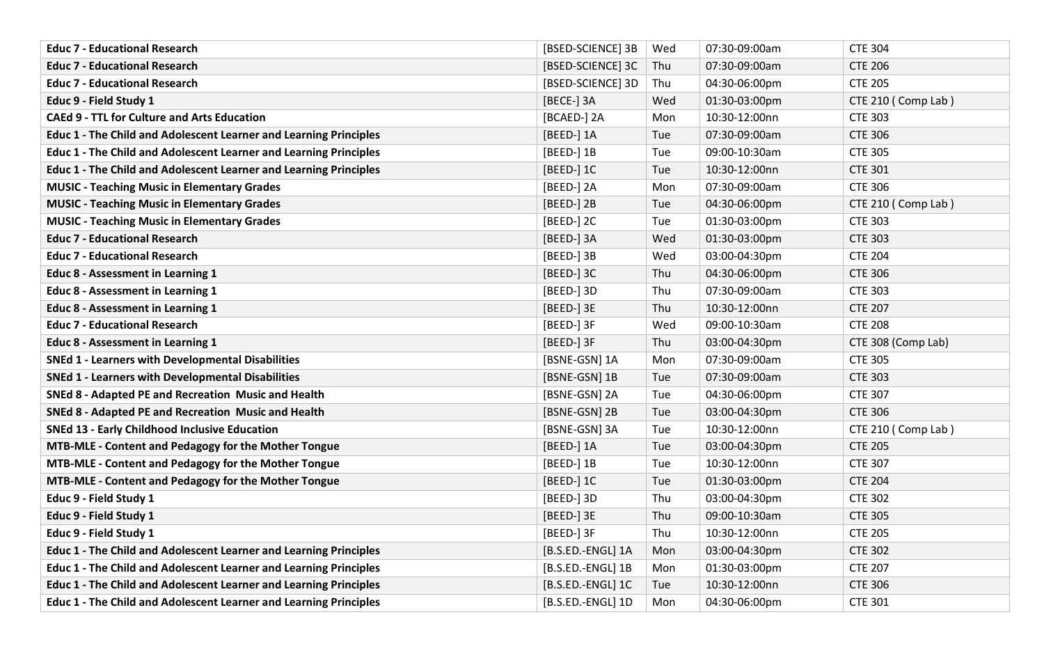| <b>Educ 7 - Educational Research</b>                                     | [BSED-SCIENCE] 3B | Wed | 07:30-09:00am | <b>CTE 304</b>     |
|--------------------------------------------------------------------------|-------------------|-----|---------------|--------------------|
| <b>Educ 7 - Educational Research</b>                                     | [BSED-SCIENCE] 3C | Thu | 07:30-09:00am | <b>CTE 206</b>     |
| <b>Educ 7 - Educational Research</b>                                     | [BSED-SCIENCE] 3D | Thu | 04:30-06:00pm | <b>CTE 205</b>     |
| Educ 9 - Field Study 1                                                   | [BECE-] 3A        | Wed | 01:30-03:00pm | CTE 210 (Comp Lab) |
| <b>CAEd 9 - TTL for Culture and Arts Education</b>                       | [BCAED-] 2A       | Mon | 10:30-12:00nn | <b>CTE 303</b>     |
| <b>Educ 1 - The Child and Adolescent Learner and Learning Principles</b> | [BEED-] 1A        | Tue | 07:30-09:00am | <b>CTE 306</b>     |
| Educ 1 - The Child and Adolescent Learner and Learning Principles        | [BEED-] 1B        | Tue | 09:00-10:30am | <b>CTE 305</b>     |
| Educ 1 - The Child and Adolescent Learner and Learning Principles        | [BEED-] 1C        | Tue | 10:30-12:00nn | <b>CTE 301</b>     |
| <b>MUSIC - Teaching Music in Elementary Grades</b>                       | [BEED-] 2A        | Mon | 07:30-09:00am | <b>CTE 306</b>     |
| <b>MUSIC - Teaching Music in Elementary Grades</b>                       | [BEED-] 2B        | Tue | 04:30-06:00pm | CTE 210 (Comp Lab) |
| <b>MUSIC - Teaching Music in Elementary Grades</b>                       | [BEED-] 2C        | Tue | 01:30-03:00pm | <b>CTE 303</b>     |
| <b>Educ 7 - Educational Research</b>                                     | [BEED-] 3A        | Wed | 01:30-03:00pm | <b>CTE 303</b>     |
| <b>Educ 7 - Educational Research</b>                                     | [BEED-] 3B        | Wed | 03:00-04:30pm | <b>CTE 204</b>     |
| Educ 8 - Assessment in Learning 1                                        | [BEED-] 3C        | Thu | 04:30-06:00pm | <b>CTE 306</b>     |
| Educ 8 - Assessment in Learning 1                                        | [BEED-] 3D        | Thu | 07:30-09:00am | <b>CTE 303</b>     |
| Educ 8 - Assessment in Learning 1                                        | [BEED-] 3E        | Thu | 10:30-12:00nn | <b>CTE 207</b>     |
| <b>Educ 7 - Educational Research</b>                                     | [BEED-] 3F        | Wed | 09:00-10:30am | <b>CTE 208</b>     |
| Educ 8 - Assessment in Learning 1                                        | [BEED-] 3F        | Thu | 03:00-04:30pm | CTE 308 (Comp Lab) |
| <b>SNEd 1 - Learners with Developmental Disabilities</b>                 | [BSNE-GSN] 1A     | Mon | 07:30-09:00am | <b>CTE 305</b>     |
| <b>SNEd 1 - Learners with Developmental Disabilities</b>                 | [BSNE-GSN] 1B     | Tue | 07:30-09:00am | <b>CTE 303</b>     |
| SNEd 8 - Adapted PE and Recreation Music and Health                      | [BSNE-GSN] 2A     | Tue | 04:30-06:00pm | <b>CTE 307</b>     |
| SNEd 8 - Adapted PE and Recreation Music and Health                      | [BSNE-GSN] 2B     | Tue | 03:00-04:30pm | <b>CTE 306</b>     |
| <b>SNEd 13 - Early Childhood Inclusive Education</b>                     | [BSNE-GSN] 3A     | Tue | 10:30-12:00nn | CTE 210 (Comp Lab) |
| MTB-MLE - Content and Pedagogy for the Mother Tongue                     | [BEED-] 1A        | Tue | 03:00-04:30pm | <b>CTE 205</b>     |
| MTB-MLE - Content and Pedagogy for the Mother Tongue                     | [BEED-] 1B        | Tue | 10:30-12:00nn | <b>CTE 307</b>     |
| MTB-MLE - Content and Pedagogy for the Mother Tongue                     | [BEED-] 1C        | Tue | 01:30-03:00pm | <b>CTE 204</b>     |
| Educ 9 - Field Study 1                                                   | [BEED-] 3D        | Thu | 03:00-04:30pm | <b>CTE 302</b>     |
| Educ 9 - Field Study 1                                                   | [BEED-] 3E        | Thu | 09:00-10:30am | <b>CTE 305</b>     |
| Educ 9 - Field Study 1                                                   | [BEED-] 3F        | Thu | 10:30-12:00nn | <b>CTE 205</b>     |
| Educ 1 - The Child and Adolescent Learner and Learning Principles        | [B.S.ED.-ENGL] 1A | Mon | 03:00-04:30pm | <b>CTE 302</b>     |
| Educ 1 - The Child and Adolescent Learner and Learning Principles        | [B.S.ED.-ENGL] 1B | Mon | 01:30-03:00pm | <b>CTE 207</b>     |
| Educ 1 - The Child and Adolescent Learner and Learning Principles        | [B.S.ED.-ENGL] 1C | Tue | 10:30-12:00nn | <b>CTE 306</b>     |
| Educ 1 - The Child and Adolescent Learner and Learning Principles        | [B.S.ED.-ENGL] 1D | Mon | 04:30-06:00pm | <b>CTE 301</b>     |